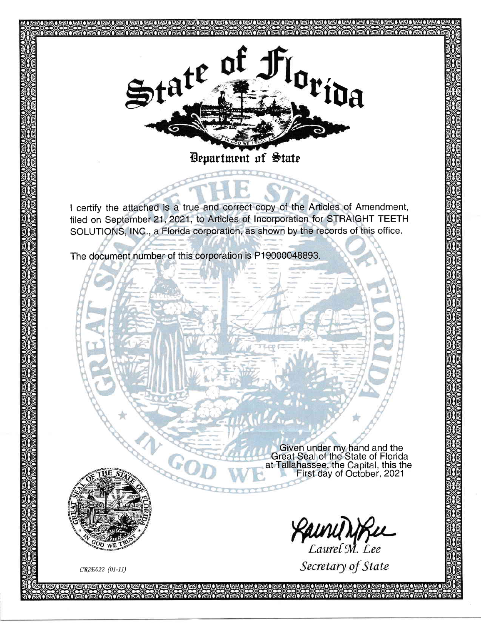

Bepartment of State

I certify the attached is a true and correct copy of the Articles of Amendment, filed on September21,2021, to Articles of lncorporation for STRAIGHT TEETH SOLUTIONS, lNC., a Florida corporation, as shown by the records of this office.

The document number of this corporation is P19000048893

Given under mv hand and the Great Seal of the State of Florida at Tallahassee, the Capital, this the First day of October,2021

**KAUNY NTKL**<br>Laurel M. Lee

Secretary of State

cq2Eo22 (01-11)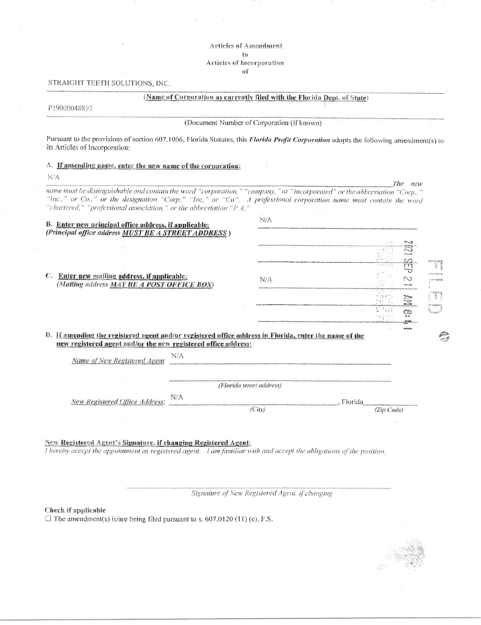**Articles of Amendment** to Articles of Incorporation of

#### STRAIGHT TEETH SOLUTIONS, INC.

#### (Name of Corporation as currently filed with the Florida Dept. of State)

P19000048893

(Document Number of Corporation (if known)

Pursuant to the provisions of section 607.1006, Florida Statutes, this Florida Profit Corporation adopts the following amendment(s) to its Articles of Incorporation:

A. If amending name, enter the new name of the corporation:

N/A

The new name must be distinguishable and contain the word "corporation," "company," or "incorporated" or the abbreviation "Corp.,"<br>"Inc.," or Co.," or the designation "Corp," "Inc," or "Co". A professional corporation name must co

| B. Enter new principal office address, if applicable:                                                  | N/A                      |                             |
|--------------------------------------------------------------------------------------------------------|--------------------------|-----------------------------|
| (Principal office address MUST BE A STREET ADDRESS)                                                    |                          |                             |
|                                                                                                        |                          | r J<br>enxwe                |
|                                                                                                        |                          | たっさ<br><b>WOODWAY</b>       |
|                                                                                                        |                          | m                           |
|                                                                                                        |                          | <b>COLORED AN</b>           |
| C.<br>Enter new mailing address, if applicable:                                                        | N/A                      | N<br>13-do Frequency        |
| (Mailing address MAY BE A POST OFFICE BOX)                                                             |                          |                             |
|                                                                                                        |                          | <b>Tinger</b>               |
|                                                                                                        |                          | $\overline{1}$ <sup>1</sup> |
|                                                                                                        |                          | య                           |
|                                                                                                        |                          |                             |
| D. If amending the registered agent and/or registered office address in Florida, enter the name of the |                          | 鸥                           |
| new registered agent and/or the new registered office address:                                         |                          |                             |
| N/A<br>Name of New Registered Agent                                                                    |                          |                             |
|                                                                                                        |                          |                             |
|                                                                                                        | (Florida street address) |                             |
| N/A                                                                                                    |                          |                             |
| New Registered Office Address:                                                                         |                          | - Florida                   |
|                                                                                                        | (City)                   | (Zip Code)                  |

New Registered Agent's Signature, if changing Registered Agent:

I hereby accept the appointment as registered agent. I am familiar with and accept the obligations of the position.

Signature of New Registered Agent, if changing

Check if applicable

 $\Box$  The amendment(s) is/are being filed pursuant to s, 607.0120 (11) (e), F.S.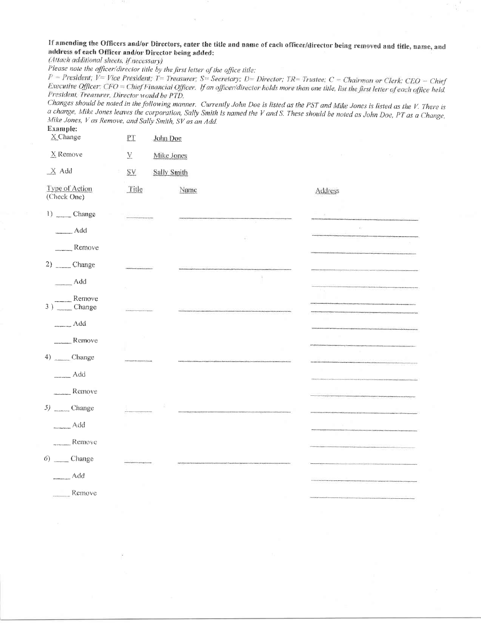If amending the Officers and/or Directors, enter the title and name of each officer/director being removed and title, name, and address of each Officer and/or Director being added:

(Attach additional sheets, if necessary)

Please note the officer/director title by the first letter of the office title:

 $P = President$ ;  $V = Vice$  President; T = Treasurer; S = Secretary; D = Director; TR = Trustee; C = Chairman or Clerk; CEO = Chief Executive Officer; CFO = Chief Financial Officer. If an officer/director holds more than one title, list the first letter of each office held. President, Treasurer, Director would be PTD.

Changes should be noted in the following manner. Currently John Doe is listed as the PST and Mike Jones is listed as the V. There is a change, Mike Jones leaves the corporation, Sally Smith is named the V and S. These should be noted as John Doe, PT as a Change, Mike Jones, V as Remove, and Sally Smith, SV as an Add. Example:

| X Change                                                                                                             | $\mathop{\rm PT}\nolimits$<br>John Doe |         |
|----------------------------------------------------------------------------------------------------------------------|----------------------------------------|---------|
| X Remove                                                                                                             | $\underline{\mathbf{V}}$<br>Mike Jones |         |
| $X$ Add                                                                                                              | <b>SY</b><br>Sally Smith               |         |
| Type of Action<br>(Check One)                                                                                        | Title<br>Name                          | Address |
| $1)$ _______ Change                                                                                                  |                                        |         |
| Add                                                                                                                  |                                        |         |
| $R$ emove                                                                                                            |                                        |         |
| $2)$ Change                                                                                                          |                                        |         |
| $-\triangle$                                                                                                         |                                        |         |
| $\begin{array}{c}\n\overbrace{\hspace{2.5cm}}\text{Remove}\\ 3)\overbrace{\hspace{2.5cm}}\text{Change}\n\end{array}$ |                                        |         |
| Add                                                                                                                  |                                        |         |
| $R$ emove                                                                                                            |                                        |         |
| 4) Change                                                                                                            |                                        |         |
| Add                                                                                                                  |                                        |         |
| Remove                                                                                                               |                                        |         |
| 5) Change                                                                                                            |                                        |         |
| Add                                                                                                                  |                                        |         |
| $R$ emove                                                                                                            |                                        |         |
| $6)$ Change                                                                                                          |                                        |         |
| Add                                                                                                                  |                                        |         |
| $R$ emove                                                                                                            |                                        |         |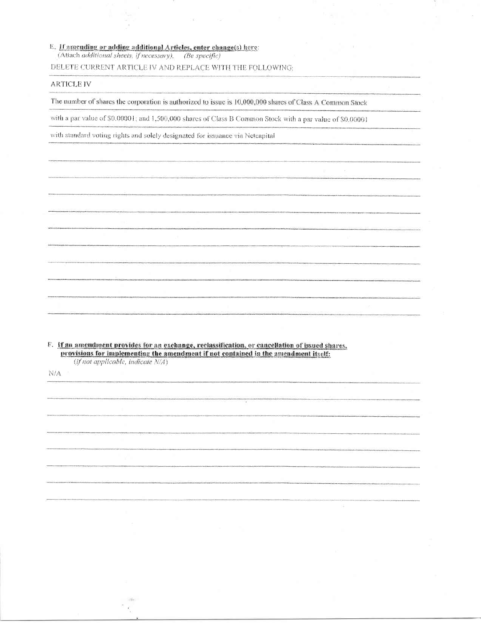### E. If amending or adding additional Articles, enter change(s) here:

(Attach additional sheets, if necessary). (Be specific)

DELETE CURRENT ARTICLE IV AND REPLACE WITH THE FOLLOWING:

### **ARTICLE IV**

The number of shares the corporation is authorized to issue is 10,000,000 shares of Class A Common Stock

with a par value of \$0.00001; and 1,500,000 shares of Class B Common Stock with a par value of \$0,00001

with standard voting rights and solely designated for issuance via Netcapital

F. If an amendment provides for an exchange, reclassification, or cancellation of issued shares,<br>provisions for implementing the amendment if not contained in the amendment itself: (if not applicable, indicate N/A)

 $N/A$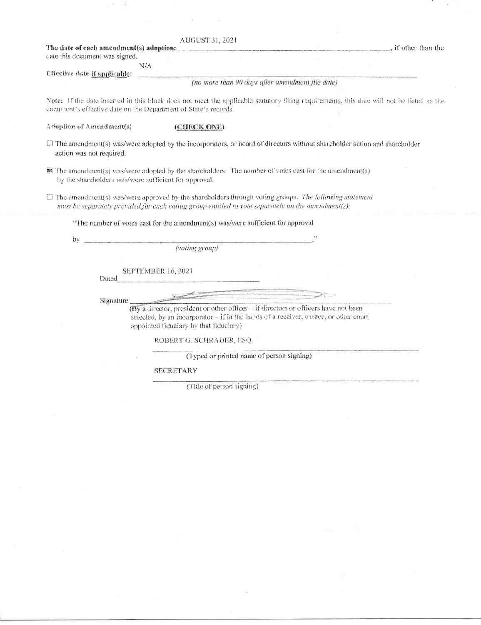|                                                                 | AUGUST 31, 2021                                                                                                                                                                                             |                                                                                                                                          |  |
|-----------------------------------------------------------------|-------------------------------------------------------------------------------------------------------------------------------------------------------------------------------------------------------------|------------------------------------------------------------------------------------------------------------------------------------------|--|
| The date of each amendment(s) adoption:                         |                                                                                                                                                                                                             | , if other than the<br>and the control of the control of the control of                                                                  |  |
| date this document was signed.                                  |                                                                                                                                                                                                             |                                                                                                                                          |  |
| N/A                                                             |                                                                                                                                                                                                             |                                                                                                                                          |  |
| Effective date if applicable:                                   |                                                                                                                                                                                                             |                                                                                                                                          |  |
|                                                                 | (no more than 90 days after amendment file date)                                                                                                                                                            |                                                                                                                                          |  |
|                                                                 |                                                                                                                                                                                                             |                                                                                                                                          |  |
| document's effective date on the Department of State's records. |                                                                                                                                                                                                             | Note: If the date inserted in this block does not meet the applicable statutory filing requirements, this date will not be listed as the |  |
| Adoption of Amendment(s)                                        | (CHECK ONE)                                                                                                                                                                                                 |                                                                                                                                          |  |
| action was not required.                                        |                                                                                                                                                                                                             | $\Box$ The amendment(s) was/were adopted by the incorporators, or board of directors without shareholder action and shareholder          |  |
| by the shareholders was/were sufficient for approval.           | ■ The amendment(s) was/were adopted by the shareholders. The number of votes cast for the amendment(s)                                                                                                      |                                                                                                                                          |  |
|                                                                 | The amendment(s) was/were approved by the shareholders through voting groups. The following statement<br>must be separately provided for each voting group entitled to vote separately on the amendment(s): |                                                                                                                                          |  |
|                                                                 | "The number of votes cast for the amendment(s) was/were sufficient for approval                                                                                                                             |                                                                                                                                          |  |
| bγ                                                              |                                                                                                                                                                                                             |                                                                                                                                          |  |
|                                                                 | (voting group)                                                                                                                                                                                              |                                                                                                                                          |  |
|                                                                 | <b>SEPTEMBER 16, 2021</b>                                                                                                                                                                                   |                                                                                                                                          |  |
| Dated                                                           |                                                                                                                                                                                                             |                                                                                                                                          |  |
|                                                                 |                                                                                                                                                                                                             |                                                                                                                                          |  |
| Signature                                                       |                                                                                                                                                                                                             |                                                                                                                                          |  |
|                                                                 | (By a director, president or other officer $-$ if directors or officers have not been                                                                                                                       |                                                                                                                                          |  |
|                                                                 | selected, by an incorporator – if in the hands of a receiver, trustee, or other court                                                                                                                       |                                                                                                                                          |  |
|                                                                 | appointed fiduciary by that fiduciary)                                                                                                                                                                      |                                                                                                                                          |  |

k

ROBERT G. SCHRADER, ESQ.

(Typed or printed name of person signing)

 ${\tt SECRETARY}$ 

. v 19

(Title of person signing)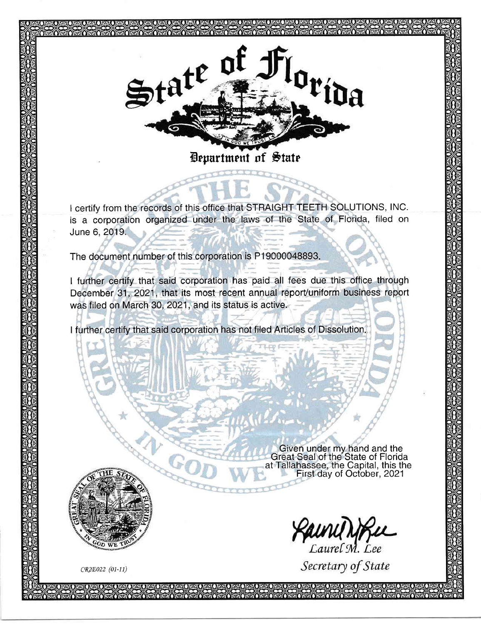

I certify from the records of this office that STRAIGHT TEETH SOLUTIONS, lNC. is a corporation organized under the laws of the State of Florida, filed on June 6,2019.

The document number of this corporation is P19000048893

c#{

I further certify that said corporation has paid all fees due this office through December 31, 2021, that its most recent annual report/uniform business report was filed on March 30, 2021, and its status is active.

I further certify that said corporation has not filed Articles of Dissolution

Given under my hand and the Great Seal of the State of Florida at Tallahassee, the Capital, this the First day of October,2021

**CAUNU NFL**<br>Laurel M. Lee

Secretary of State

CR2E022 (01-11)

ł  $\mu$ 

WE

 $\phi$ \*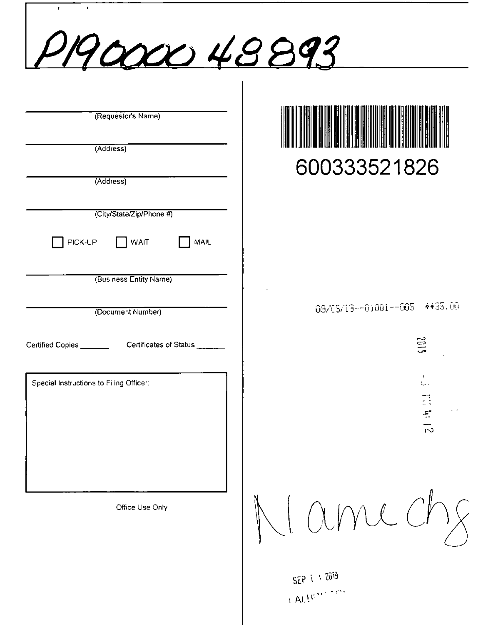| $\bullet$<br>$\mathbf{r}$<br>P19000048893                                     |                                                        |
|-------------------------------------------------------------------------------|--------------------------------------------------------|
| (Requestor's Name)<br>(Address)<br>(Address)                                  | 600333521826                                           |
| (City/State/Zip/Phone #)<br>WAIT<br>PICK-UP<br>MAIL<br>(Business Entity Name) |                                                        |
| (Document Number)<br>Certificates of Status<br>Certified Copies               | **35.00<br>09/05/19--01001--005<br>≌<br>$\overline{u}$ |
| Special Instructions to Filing Officer:                                       | $\mathbf{1}$<br>$\mathsf{L}$ .<br>明白<br>$\vec{v}$      |
| Office Use Only                                                               | ime                                                    |
|                                                                               | SEP 1 1 2019<br>LALLUSE TASE                           |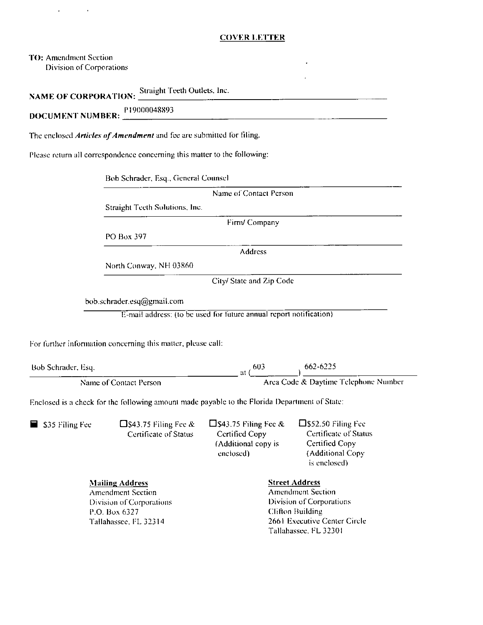### **COVER LETTER**

TO: Amendment Section Division of Corporations

NAME OF CORPORATION: Straight Teeth Outlets, Inc.

**DOCUMENT NUMBER:** P19000048893

The enclosed Articles of Amendment and fee are submitted for filing.

Please return all correspondence concerning this matter to the following:

Bob Schrader, Esq., General Counsel

Straight Teeth Solutions, Inc.

Firm/Company

Name of Contact Person

PO Box 397

**Address** 

North Conway, NH 03860

City/ State and Zip Code

bob.schrader.esq@gmail.com

E-mail address: (to be used for future annual report notification)

For further information concerning this matter, please call:

 $=$  at  $\frac{(603)}{Area \text{ Code & Daytime}$  Telephone Number Bob Schrader, Esq. Name of Contact Person

Enclosed is a check for the following amount made payable to the Florida Department of State:

□\$43.75 Filing Fee  $&$  $\square$ \$52.50 Filing Fee  $\square$ \$43.75 Filing Fee &  $\blacksquare$  \$35 Filing Fee Certificate of Status **Certified Copy** Certificate of Status Certified Copy (Additional copy is (Additional Copy enclosed)

**Mailing Address** 

**Amendment Section** Division of Corporations P.O. Box 6327 Tallahassee, FL 32314

is enclosed).

**Street Address** 

**Amendment Section** Division of Corporations **Clifton Building** 2661 Executive Center Circle Tallahassee, FL 32301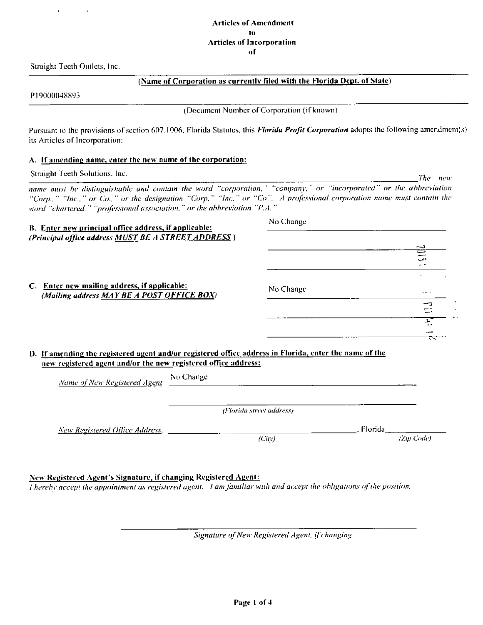Straight Teeth Outlets, Inc.

### (Name of Corporation as currently filed with the Florida Dept. of State)

P19000048893

(Document Number of Corporation (if known)

The new

Pursuant to the provisions of section 607.1006, Florida Statutes, this Florida Profit Corporation adopts the following amendment(s) its Articles of Incorporation:

### A. If amending name, enter the new name of the corporation:

Straight Teeth Solutions, Inc.

name must be distinguishable and contain the word "corporation," "company," or "incorporated" or the abbreviation "Corp.," "Inc.," or Co.," or the designation "Corp," "Inc," or "Co". A professional corporation name must contain the word "chartered," "professional association," or the abbreviation "P.A."

| B. Enter new principal office address, if applicable:                                                  |           | No Change                |            |     |
|--------------------------------------------------------------------------------------------------------|-----------|--------------------------|------------|-----|
| (Principal office address MUST BE A STREET ADDRESS)                                                    |           |                          |            |     |
|                                                                                                        |           |                          |            |     |
|                                                                                                        |           |                          |            |     |
|                                                                                                        |           |                          |            | دعب |
|                                                                                                        |           |                          |            |     |
| C. Enter new mailing address, if applicable:<br>(Mailing address MAY BE A POST OFFICE BOX)             |           | No Change                |            |     |
|                                                                                                        |           |                          |            |     |
|                                                                                                        |           |                          |            | Ξ   |
|                                                                                                        |           |                          |            |     |
|                                                                                                        |           |                          |            |     |
| D. If amending the registered agent and/or registered office address in Florida, enter the name of the |           |                          |            |     |
| new registered agent and/or the new registered office address:                                         |           |                          |            |     |
| Name of New Registered Agent                                                                           | No Change |                          |            |     |
|                                                                                                        |           |                          |            |     |
|                                                                                                        |           | (Florida street address) |            |     |
| New Registered Office Address:                                                                         |           |                          | , Florida  |     |
|                                                                                                        |           | (Cin)                    | (Zip Code) |     |

New Registered Agent's Signature, if changing Registered Agent:

I hereby accept the appointment as registered agent. I am familiar with and accept the obligations of the position.

Signature of New Registered Agent, if changing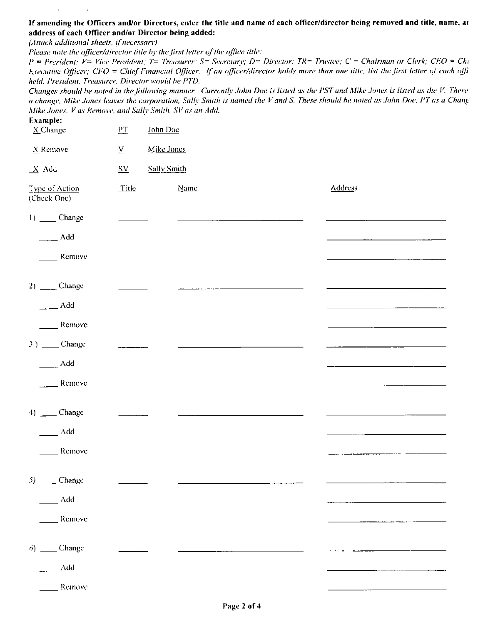### If amending the Officers and/or Directors, enter the title and name of each officer/director being removed and title, name, ar address of each Officer and/or Director being added:

(Attach additional sheets, if necessary)

 $\mathbf{r}$ 

 $\mathbf{a}^{\dagger}$ 

Please note the officer/director title by the first letter of the office title:

 $P = President$ ;  $V = Vice President$ ;  $T = Treasury$ ;  $S = Secretary$ ;  $D = Director$ ;  $TR = Truster$ ;  $C = Chairman$  or Clerk;  $CEO = Chi$ Executive Officer; CFO = Chief Financial Officer. If an officer/director holds more than one title, list the first letter of each offiheld. President, Treasurer, Director would be PTD.

Changes should be noted in the following manner. Currently John Doe is listed as the PST and Mike Jones is listed as the V. There a change, Mike Jones leaves the corporation, Sally Smith is named the V and S. These should be noted as John Doe, PT as a Chang Mike Jones, V as Remove, and Sally Smith, SV as an Add.

| Example:<br>$X_$ Change       | $P_{\perp}$                                    | John Doc             |                |
|-------------------------------|------------------------------------------------|----------------------|----------------|
| $\underline{X}$ Remove        | $\underline{\mathbf{V}}$                       | Mike Jones           |                |
| $X$ Add                       | $\underline{\mathbf{S}}\underline{\mathbf{V}}$ | Sally Smith          |                |
| Type of Action<br>(Check One) | Title                                          | Name                 | <b>Address</b> |
| $1)$ _______ Change           |                                                |                      |                |
| $\frac{1}{2}$ Add             |                                                |                      |                |
| Remove                        |                                                |                      |                |
| $2)$ _______ Change           |                                                | $1.11 - 1.11 - 1.11$ |                |
| $\overline{\phantom{0}}$ Add  |                                                |                      |                |
| Remove                        |                                                |                      |                |
| 3) ____ Change                |                                                |                      |                |
| $\overline{\phantom{a}}$ Add  |                                                |                      |                |
| Remove                        |                                                |                      |                |
| 4) __ Change                  |                                                |                      |                |
| $\_Add$                       |                                                |                      |                |
| Remove                        |                                                |                      |                |
| $5)$ _____ Change             |                                                |                      |                |
| $\_\_\_$ Add                  |                                                |                      |                |
| _ Remove                      |                                                |                      |                |
| $6)$ _______ Change           |                                                |                      |                |
| Add                           |                                                |                      |                |
| Remove                        |                                                |                      |                |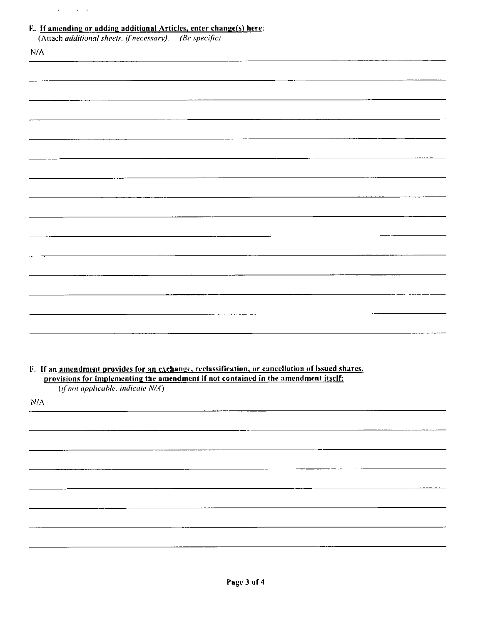| the committee of the com- |  |
|---------------------------|--|
|                           |  |
|                           |  |
|                           |  |

#### $\mathbf{r}$  is لمنفاط بالمنعب j.  $\overline{a}$ .<br>... a a : .  $\overline{1}$  $\ddot{\phantom{0}}$

|           | <b>E.</b> If amending or adding additional Articles, enter change(s) here:<br>(Attach additional sheets, if necessary). (Be specific)                                                   |  |  |
|-----------|-----------------------------------------------------------------------------------------------------------------------------------------------------------------------------------------|--|--|
| N/A       |                                                                                                                                                                                         |  |  |
|           |                                                                                                                                                                                         |  |  |
|           |                                                                                                                                                                                         |  |  |
|           |                                                                                                                                                                                         |  |  |
|           |                                                                                                                                                                                         |  |  |
|           |                                                                                                                                                                                         |  |  |
|           |                                                                                                                                                                                         |  |  |
|           |                                                                                                                                                                                         |  |  |
|           |                                                                                                                                                                                         |  |  |
|           |                                                                                                                                                                                         |  |  |
|           |                                                                                                                                                                                         |  |  |
|           |                                                                                                                                                                                         |  |  |
|           |                                                                                                                                                                                         |  |  |
|           |                                                                                                                                                                                         |  |  |
|           |                                                                                                                                                                                         |  |  |
|           |                                                                                                                                                                                         |  |  |
|           |                                                                                                                                                                                         |  |  |
|           |                                                                                                                                                                                         |  |  |
|           |                                                                                                                                                                                         |  |  |
|           |                                                                                                                                                                                         |  |  |
|           |                                                                                                                                                                                         |  |  |
|           | F. If an amendment provides for an exchange, reclassification, or cancellation of issued shares,<br>provisions for implementing the amendment if not contained in the amendment itself: |  |  |
|           | (if not applicable, indicate N/A)                                                                                                                                                       |  |  |
| $\rm N/A$ |                                                                                                                                                                                         |  |  |
|           |                                                                                                                                                                                         |  |  |
|           |                                                                                                                                                                                         |  |  |
|           |                                                                                                                                                                                         |  |  |
|           |                                                                                                                                                                                         |  |  |
|           |                                                                                                                                                                                         |  |  |
|           |                                                                                                                                                                                         |  |  |
|           |                                                                                                                                                                                         |  |  |
|           |                                                                                                                                                                                         |  |  |
|           |                                                                                                                                                                                         |  |  |
|           |                                                                                                                                                                                         |  |  |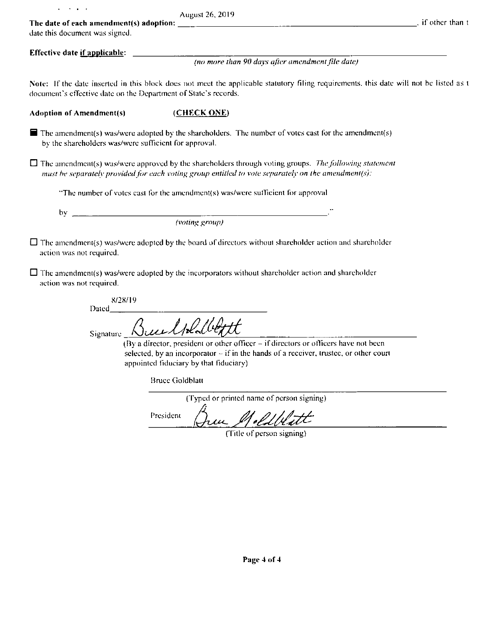| <b>Contract Contract</b>                                                  | August 26, 2019                                                                                                                                                                                                            |                                  |
|---------------------------------------------------------------------------|----------------------------------------------------------------------------------------------------------------------------------------------------------------------------------------------------------------------------|----------------------------------|
| The date of each amendment(s) adoption:<br>date this document was signed. |                                                                                                                                                                                                                            | $\overline{a}$ , if other than t |
| Effective date if applicable:                                             |                                                                                                                                                                                                                            |                                  |
|                                                                           | (no more than 90 days after amendment file date)                                                                                                                                                                           |                                  |
| document's effective date on the Department of State's records.           | Note: If the date inserted in this block does not meet the applicable statutory filing requirements, this date will not be listed as t                                                                                     |                                  |
| <b>Adoption of Amendment(s)</b>                                           | (CHECK ONE)                                                                                                                                                                                                                |                                  |
| by the shareholders was/were sufficient for approval.                     | $\blacksquare$ The amendment(s) was/were adopted by the shareholders. The number of votes cast for the amendment(s)                                                                                                        |                                  |
|                                                                           | $\Box$ The amendment(s) was/were approved by the shareholders through voting groups. The following statement<br>must be separately provided for each voting group entitled to vote separately on the amendment(s):         |                                  |
|                                                                           | "The number of votes cast for the amendment(s) was/were sufficient for approval                                                                                                                                            |                                  |
| bv                                                                        |                                                                                                                                                                                                                            |                                  |
|                                                                           | $( \text{voting group})$                                                                                                                                                                                                   |                                  |
| action was not required.                                                  | $\Box$ The amendment(s) was/were adopted by the board of directors without shareholder action and shareholder                                                                                                              |                                  |
| action was not required.                                                  | $\Box$ The amendment(s) was/were adopted by the incorporators without shareholder action and shareholder                                                                                                                   |                                  |
| 8/28/19<br>Dated                                                          |                                                                                                                                                                                                                            |                                  |
| Signature                                                                 | Bundredbett                                                                                                                                                                                                                |                                  |
|                                                                           | (By a director, president or other officer $-$ if directors or officers have not been<br>selected, by an incorporator $-$ if in the hands of a receiver, trustee, or other court<br>appointed fiduciary by that fiduciary) |                                  |
|                                                                           | <b>Bruce Goldblatt</b>                                                                                                                                                                                                     |                                  |
|                                                                           | (Typed or printed name of person signing)                                                                                                                                                                                  |                                  |
|                                                                           | President                                                                                                                                                                                                                  |                                  |
|                                                                           | (Title of person signing)                                                                                                                                                                                                  |                                  |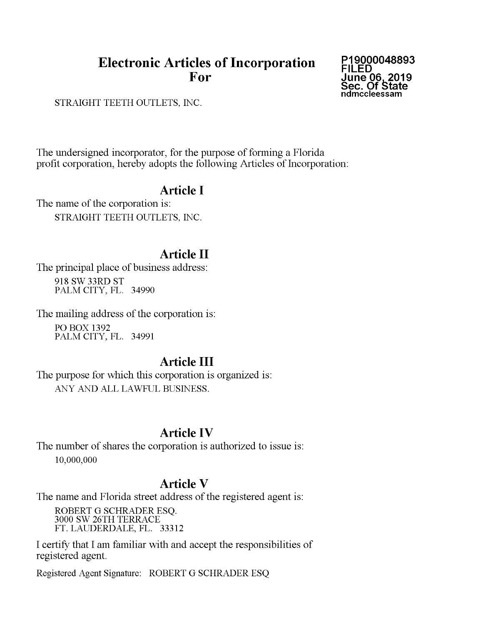# **Electronic Articles of Incorporation** For

P19000048893 **FILED** June 06, 2019<br>Sec. Of State ndmccleessam

STRAIGHT TEETH OUTLETS, INC.

The undersigned incorporator, for the purpose of forming a Florida profit corporation, hereby adopts the following Articles of Incorporation:

# **Article I**

The name of the corporation is: STRAIGHT TEETH OUTLETS, INC.

# **Article II**

The principal place of business address: 918 SW 33RD ST PALM CITY, FL. 34990

The mailing address of the corporation is: **PO BOX 1392** PALM CITY, FL. 34991

# Article III

The purpose for which this corporation is organized is: ANY AND ALL LAWFUL BUSINESS.

## **Article IV**

The number of shares the corporation is authorized to issue is: 10,000,000

### **Article V**

The name and Florida street address of the registered agent is:

ROBERT G SCHRADER ESQ. 3000 SW 26TH TERRACE FT. LAUDERDALE, FL. 33312

I certify that I am familiar with and accept the responsibilities of registered agent.

Registered Agent Signature: ROBERT G SCHRADER ESQ